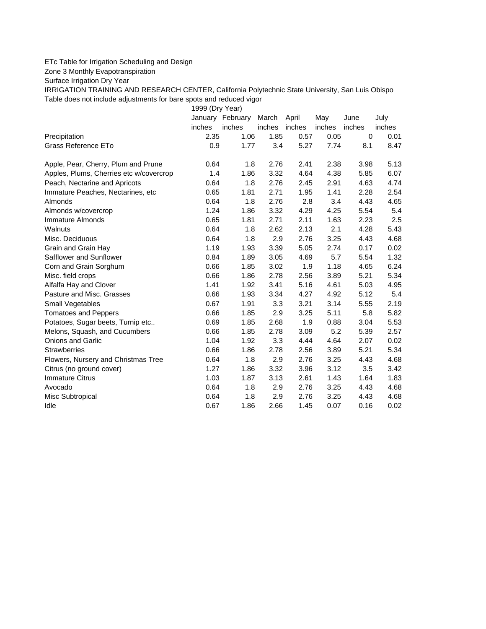## ETc Table for Irrigation Scheduling and Design

Zone 3 Monthly Evapotranspiration

Surface Irrigation Dry Year

IRRIGATION TRAINING AND RESEARCH CENTER, California Polytechnic State University, San Luis Obispo Table does not include adjustments for bare spots and reduced vigor

1999 (Dry Year)

|                                         | January | February | March  | April  | May    | June   | July   |
|-----------------------------------------|---------|----------|--------|--------|--------|--------|--------|
|                                         | inches  | inches   | inches | inches | inches | inches | inches |
| Precipitation                           | 2.35    | 1.06     | 1.85   | 0.57   | 0.05   | 0      | 0.01   |
| Grass Reference ETo                     | 0.9     | 1.77     | 3.4    | 5.27   | 7.74   | 8.1    | 8.47   |
| Apple, Pear, Cherry, Plum and Prune     | 0.64    | 1.8      | 2.76   | 2.41   | 2.38   | 3.98   | 5.13   |
| Apples, Plums, Cherries etc w/covercrop | 1.4     | 1.86     | 3.32   | 4.64   | 4.38   | 5.85   | 6.07   |
| Peach, Nectarine and Apricots           | 0.64    | 1.8      | 2.76   | 2.45   | 2.91   | 4.63   | 4.74   |
| Immature Peaches, Nectarines, etc       | 0.65    | 1.81     | 2.71   | 1.95   | 1.41   | 2.28   | 2.54   |
| Almonds                                 | 0.64    | 1.8      | 2.76   | 2.8    | 3.4    | 4.43   | 4.65   |
| Almonds w/covercrop                     | 1.24    | 1.86     | 3.32   | 4.29   | 4.25   | 5.54   | 5.4    |
| Immature Almonds                        | 0.65    | 1.81     | 2.71   | 2.11   | 1.63   | 2.23   | 2.5    |
| Walnuts                                 | 0.64    | 1.8      | 2.62   | 2.13   | 2.1    | 4.28   | 5.43   |
| Misc. Deciduous                         | 0.64    | 1.8      | 2.9    | 2.76   | 3.25   | 4.43   | 4.68   |
| Grain and Grain Hay                     | 1.19    | 1.93     | 3.39   | 5.05   | 2.74   | 0.17   | 0.02   |
| Safflower and Sunflower                 | 0.84    | 1.89     | 3.05   | 4.69   | 5.7    | 5.54   | 1.32   |
| Corn and Grain Sorghum                  | 0.66    | 1.85     | 3.02   | 1.9    | 1.18   | 4.65   | 6.24   |
| Misc. field crops                       | 0.66    | 1.86     | 2.78   | 2.56   | 3.89   | 5.21   | 5.34   |
| Alfalfa Hay and Clover                  | 1.41    | 1.92     | 3.41   | 5.16   | 4.61   | 5.03   | 4.95   |
| Pasture and Misc. Grasses               | 0.66    | 1.93     | 3.34   | 4.27   | 4.92   | 5.12   | 5.4    |
| Small Vegetables                        | 0.67    | 1.91     | 3.3    | 3.21   | 3.14   | 5.55   | 2.19   |
| <b>Tomatoes and Peppers</b>             | 0.66    | 1.85     | 2.9    | 3.25   | 5.11   | 5.8    | 5.82   |
| Potatoes, Sugar beets, Turnip etc       | 0.69    | 1.85     | 2.68   | 1.9    | 0.88   | 3.04   | 5.53   |
| Melons, Squash, and Cucumbers           | 0.66    | 1.85     | 2.78   | 3.09   | 5.2    | 5.39   | 2.57   |
| <b>Onions and Garlic</b>                | 1.04    | 1.92     | 3.3    | 4.44   | 4.64   | 2.07   | 0.02   |
| <b>Strawberries</b>                     | 0.66    | 1.86     | 2.78   | 2.56   | 3.89   | 5.21   | 5.34   |
| Flowers, Nursery and Christmas Tree     | 0.64    | 1.8      | 2.9    | 2.76   | 3.25   | 4.43   | 4.68   |
| Citrus (no ground cover)                | 1.27    | 1.86     | 3.32   | 3.96   | 3.12   | 3.5    | 3.42   |
| <b>Immature Citrus</b>                  | 1.03    | 1.87     | 3.13   | 2.61   | 1.43   | 1.64   | 1.83   |
| Avocado                                 | 0.64    | 1.8      | 2.9    | 2.76   | 3.25   | 4.43   | 4.68   |
| Misc Subtropical                        | 0.64    | 1.8      | 2.9    | 2.76   | 3.25   | 4.43   | 4.68   |
| Idle                                    | 0.67    | 1.86     | 2.66   | 1.45   | 0.07   | 0.16   | 0.02   |